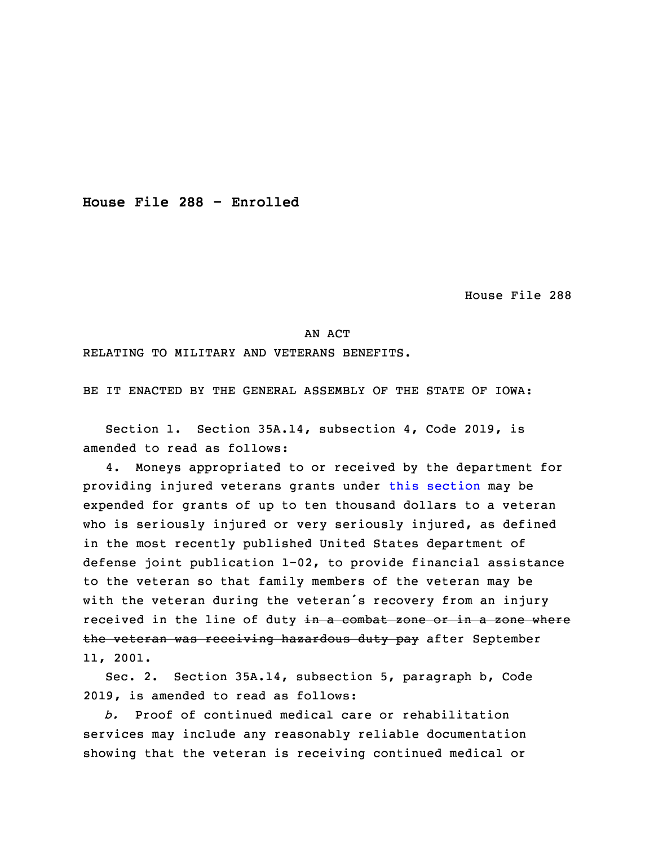**House File 288 - Enrolled**

House File 288

## AN ACT

RELATING TO MILITARY AND VETERANS BENEFITS.

BE IT ENACTED BY THE GENERAL ASSEMBLY OF THE STATE OF IOWA:

 Section 1. Section 35A.14, subsection 4, Code 2019, is amended to read as follows:

4. Moneys appropriated to or received by the department for providing injured veterans grants under this [section](https://www.legis.iowa.gov/docs/code/2019/35A.14.pdf) may be expended for grants of up to ten thousand dollars to a veteran who is seriously injured or very seriously injured, as defined in the most recently published United States department of defense joint publication  $1-02$ , to provide financial assistance to the veteran so that family members of the veteran may be with the veteran during the veteran's recovery from an injury received in the line of duty in a combat zone or in a zone where the veteran was receiving hazardous duty pay after September 13 11, 2001.

 Sec. 2. Section 35A.14, subsection 5, paragraph b, Code 2019, is amended to read as follows:

16 *b.* Proof of continued medical care or rehabilitation services may include any reasonably reliable documentation showing that the veteran is receiving continued medical or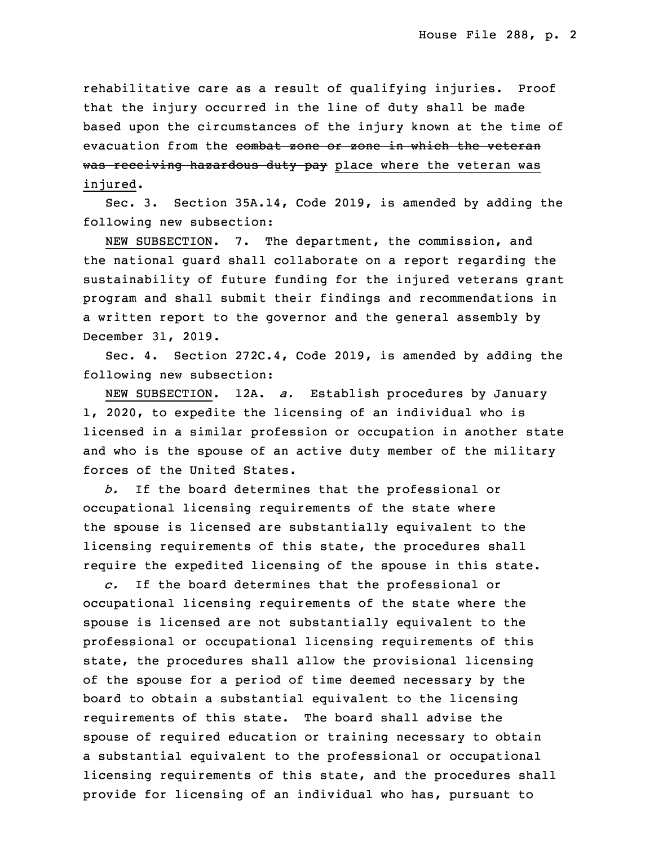rehabilitative care as a result of qualifying injuries. Proof that the injury occurred in the line of duty shall be made based upon the circumstances of the injury known at the time of evacuation from the combat zone or zone in which the veteran was receiving hazardous duty pay place where the veteran was injured.

Sec. 3. Section 35A.14, Code 2019, is amended by adding the following new subsection:

NEW SUBSECTION. 7. The department, the commission, and the national quard shall collaborate on a report regarding the sustainability of future funding for the injured veterans grant program and shall submit their findings and recommendations in a written report to the governor and the general assembly by 32 December 31, 2019.

Sec. 4. Section 272C.4, Code 2019, is amended by adding the following new subsection:

NEW SUBSECTION. 12A. *a.* Establish procedures by January 1, 2020, to expedite the licensing of an individual who is licensed in <sup>a</sup> similar profession or occupation in another state and who is the spouse of an active duty member of the military forces of the United States.

5 *b.* If the board determines that the professional or occupational licensing requirements of the state where the spouse is licensed are substantially equivalent to the licensing requirements of this state, the procedures shall require the expedited licensing of the spouse in this state.

10 *c.* If the board determines that the professional or occupational licensing requirements of the state where the spouse is licensed are not substantially equivalent to the professional or occupational licensing requirements of this state, the procedures shall allow the provisional licensing of the spouse for a period of time deemed necessary by the board to obtain a substantial equivalent to the licensing requirements of this state. The board shall advise the spouse of required education or training necessary to obtain a substantial equivalent to the professional or occupational licensing requirements of this state, and the procedures shall provide for licensing of an individual who has, pursuant to